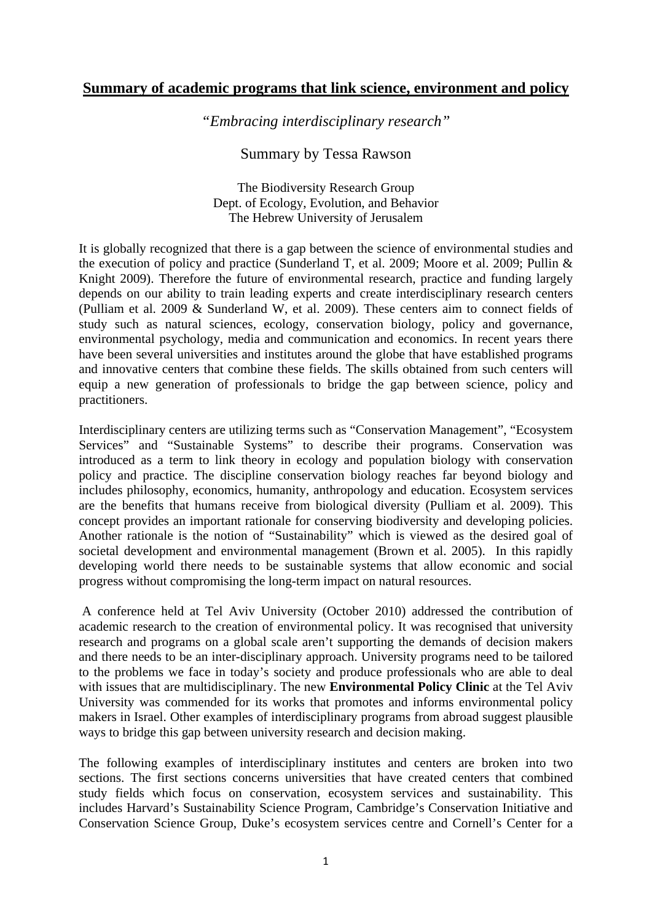# **Summary of academic programs that link science, environment and policy**

*"Embracing interdisciplinary research"* 

Summary by Tessa Rawson

The Biodiversity Research Group Dept. of Ecology, Evolution, and Behavior The Hebrew University of Jerusalem

It is globally recognized that there is a gap between the science of environmental studies and the execution of policy and practice (Sunderland T, et al. 2009; Moore et al. 2009; Pullin & Knight 2009). Therefore the future of environmental research, practice and funding largely depends on our ability to train leading experts and create interdisciplinary research centers (Pulliam et al. 2009 & Sunderland W, et al. 2009). These centers aim to connect fields of study such as natural sciences, ecology, conservation biology, policy and governance, environmental psychology, media and communication and economics. In recent years there have been several universities and institutes around the globe that have established programs and innovative centers that combine these fields. The skills obtained from such centers will equip a new generation of professionals to bridge the gap between science, policy and practitioners.

Interdisciplinary centers are utilizing terms such as "Conservation Management", "Ecosystem Services" and "Sustainable Systems" to describe their programs. Conservation was introduced as a term to link theory in ecology and population biology with conservation policy and practice. The discipline conservation biology reaches far beyond biology and includes philosophy, economics, humanity, anthropology and education. Ecosystem services are the benefits that humans receive from biological diversity (Pulliam et al. 2009). This concept provides an important rationale for conserving biodiversity and developing policies. Another rationale is the notion of "Sustainability" which is viewed as the desired goal of societal development and environmental management (Brown et al. 2005). In this rapidly developing world there needs to be sustainable systems that allow economic and social progress without compromising the long-term impact on natural resources.

 A conference held at Tel Aviv University (October 2010) addressed the contribution of academic research to the creation of environmental policy. It was recognised that university research and programs on a global scale aren't supporting the demands of decision makers and there needs to be an inter-disciplinary approach. University programs need to be tailored to the problems we face in today's society and produce professionals who are able to deal with issues that are multidisciplinary. The new **Environmental Policy Clinic** at the Tel Aviv University was commended for its works that promotes and informs environmental policy makers in Israel. Other examples of interdisciplinary programs from abroad suggest plausible ways to bridge this gap between university research and decision making.

The following examples of interdisciplinary institutes and centers are broken into two sections. The first sections concerns universities that have created centers that combined study fields which focus on conservation, ecosystem services and sustainability. This includes Harvard's Sustainability Science Program, Cambridge's Conservation Initiative and Conservation Science Group, Duke's ecosystem services centre and Cornell's Center for a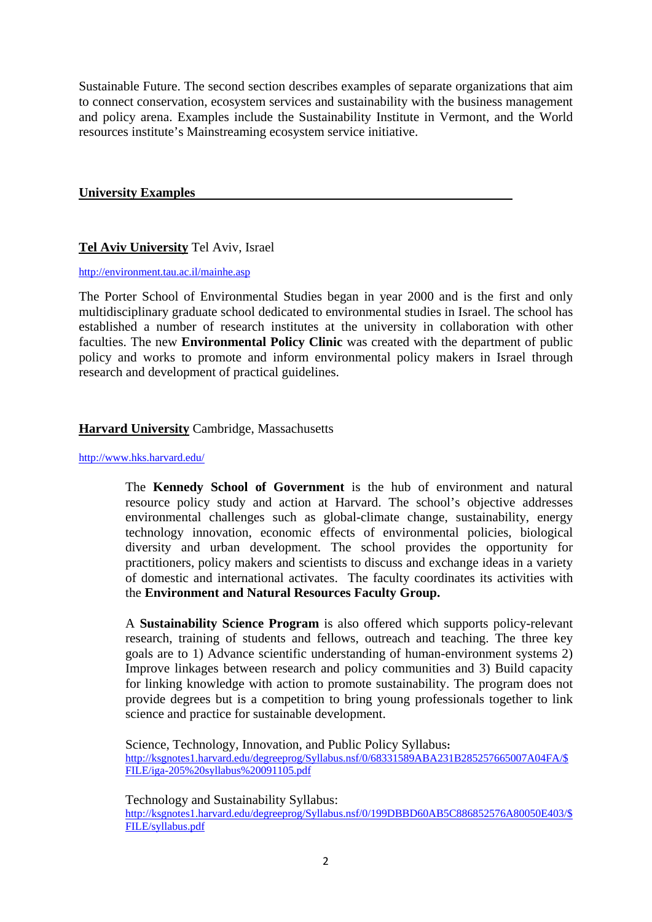Sustainable Future. The second section describes examples of separate organizations that aim to connect conservation, ecosystem services and sustainability with the business management and policy arena. Examples include the Sustainability Institute in Vermont, and the World resources institute's Mainstreaming ecosystem service initiative.

### **University Examples**

### **Tel Aviv University** Tel Aviv, Israel

http://environment.tau.ac.il/mainhe.asp

The Porter School of Environmental Studies began in year 2000 and is the first and only multidisciplinary graduate school dedicated to environmental studies in Israel. The school has established a number of research institutes at the university in collaboration with other faculties. The new **Environmental Policy Clinic** was created with the department of public policy and works to promote and inform environmental policy makers in Israel through research and development of practical guidelines.

### **Harvard University** Cambridge, Massachusetts

#### http://www.hks.harvard.edu/

The **Kennedy School of Government** is the hub of environment and natural resource policy study and action at Harvard. The school's objective addresses environmental challenges such as global-climate change, sustainability, energy technology innovation, economic effects of environmental policies, biological diversity and urban development. The school provides the opportunity for practitioners, policy makers and scientists to discuss and exchange ideas in a variety of domestic and international activates. The faculty coordinates its activities with the **Environment and Natural Resources Faculty Group.** 

A **Sustainability Science Program** is also offered which supports policy-relevant research, training of students and fellows, outreach and teaching. The three key goals are to 1) Advance scientific understanding of human-environment systems 2) Improve linkages between research and policy communities and 3) Build capacity for linking knowledge with action to promote sustainability. The program does not provide degrees but is a competition to bring young professionals together to link science and practice for sustainable development.

Science, Technology, Innovation, and Public Policy Syllabus**:**  http://ksgnotes1.harvard.edu/degreeprog/Syllabus.nsf/0/68331589ABA231B285257665007A04FA/\$ FILE/iga-205%20syllabus%20091105.pdf

Technology and Sustainability Syllabus: http://ksgnotes1.harvard.edu/degreeprog/Syllabus.nsf/0/199DBBD60AB5C886852576A80050E403/\$ FILE/syllabus.pdf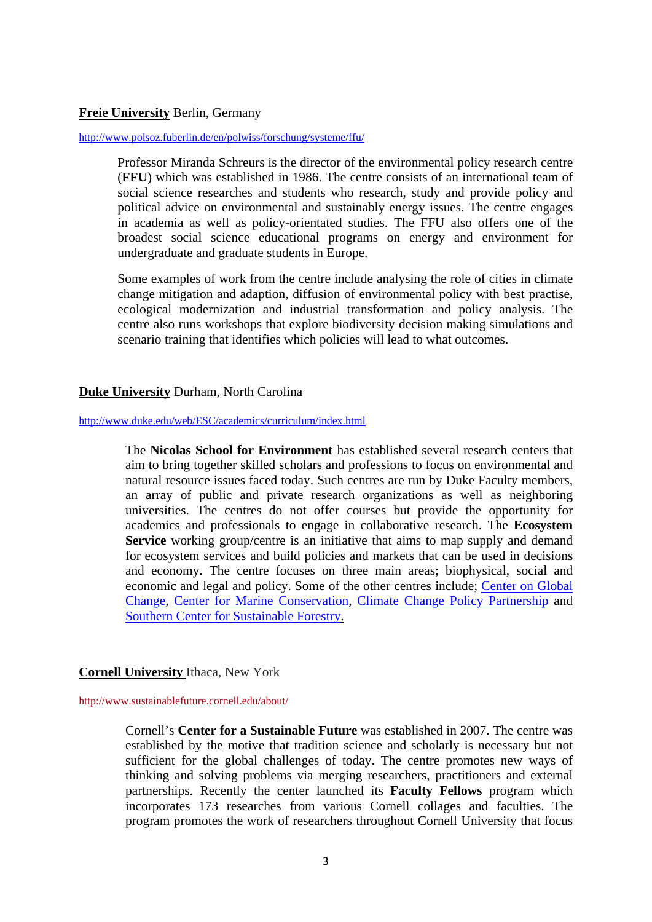# **Freie University** Berlin, Germany

#### http://www.polsoz.fuberlin.de/en/polwiss/forschung/systeme/ffu/

Professor Miranda Schreurs is the director of the environmental policy research centre (**FFU**) which was established in 1986. The centre consists of an international team of social science researches and students who research, study and provide policy and political advice on environmental and sustainably energy issues. The centre engages in academia as well as policy-orientated studies. The FFU also offers one of the broadest social science educational programs on energy and environment for undergraduate and graduate students in Europe.

Some examples of work from the centre include analysing the role of cities in climate change mitigation and adaption, diffusion of environmental policy with best practise, ecological modernization and industrial transformation and policy analysis. The centre also runs workshops that explore biodiversity decision making simulations and scenario training that identifies which policies will lead to what outcomes.

### **Duke University** Durham, North Carolina

#### http://www.duke.edu/web/ESC/academics/curriculum/index.html

The **Nicolas School for Environment** has established several research centers that aim to bring together skilled scholars and professions to focus on environmental and natural resource issues faced today. Such centres are run by Duke Faculty members, an array of public and private research organizations as well as neighboring universities. The centres do not offer courses but provide the opportunity for academics and professionals to engage in collaborative research. The **Ecosystem Service** working group/centre is an initiative that aims to map supply and demand for ecosystem services and build policies and markets that can be used in decisions and economy. The centre focuses on three main areas; biophysical, social and economic and legal and policy. Some of the other centres include; Center on Global Change, Center for Marine Conservation, Climate Change Policy Partnership and Southern Center for Sustainable Forestry.

### **Cornell University** Ithaca, New York

http://www.sustainablefuture.cornell.edu/about/

Cornell's **Center for a Sustainable Future** was established in 2007. The centre was established by the motive that tradition science and scholarly is necessary but not sufficient for the global challenges of today. The centre promotes new ways of thinking and solving problems via merging researchers, practitioners and external partnerships. Recently the center launched its **Faculty Fellows** program which incorporates 173 researches from various Cornell collages and faculties. The program promotes the work of researchers throughout Cornell University that focus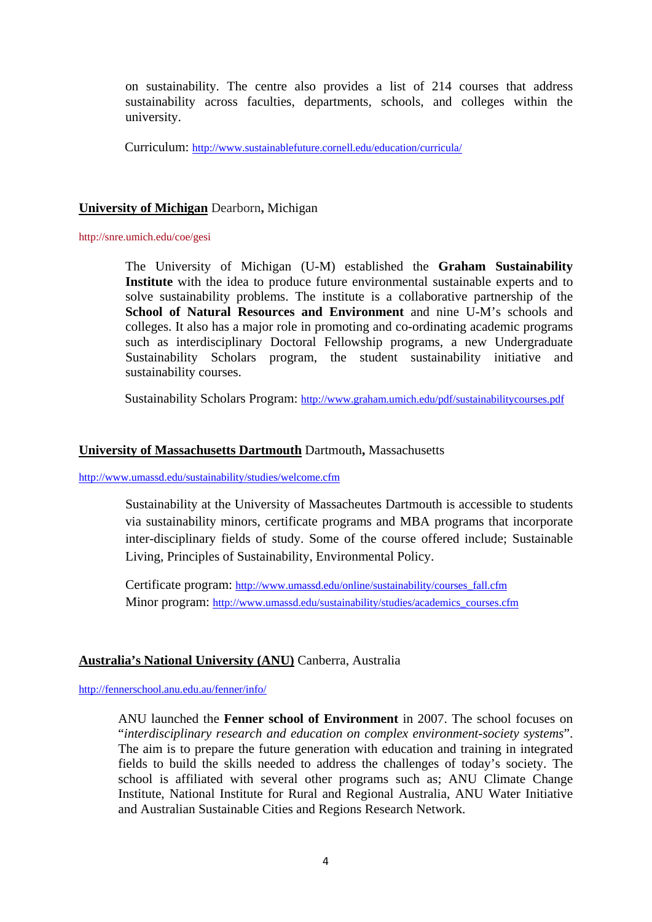on sustainability. The centre also provides a list of 214 courses that address sustainability across faculties, departments, schools, and colleges within the university.

Curriculum: http://www.sustainablefuture.cornell.edu/education/curricula/

### **University of Michigan** Dearborn**,** Michigan

#### http://snre.umich.edu/coe/gesi

The University of Michigan (U-M) established the **Graham Sustainability Institute** with the idea to produce future environmental sustainable experts and to solve sustainability problems. The institute is a collaborative partnership of the **School of Natural Resources and Environment** and nine U-M's schools and colleges. It also has a major role in promoting and co-ordinating academic programs such as interdisciplinary Doctoral Fellowship programs, a new Undergraduate Sustainability Scholars program, the student sustainability initiative and sustainability courses.

Sustainability Scholars Program: http://www.graham.umich.edu/pdf/sustainabilitycourses.pdf

### **University of Massachusetts Dartmouth** Dartmouth**,** Massachusetts

### http://www.umassd.edu/sustainability/studies/welcome.cfm

Sustainability at the University of Massacheutes Dartmouth is accessible to students via sustainability minors, certificate programs and MBA programs that incorporate inter-disciplinary fields of study. Some of the course offered include; Sustainable Living, Principles of Sustainability, Environmental Policy.

Certificate program: http://www.umassd.edu/online/sustainability/courses\_fall.cfm Minor program: http://www.umassd.edu/sustainability/studies/academics\_courses.cfm

# **Australia's National University (ANU)** Canberra, Australia

http://fennerschool.anu.edu.au/fenner/info/

ANU launched the **Fenner school of Environment** in 2007. The school focuses on "*interdisciplinary research and education on complex environment-society systems*". The aim is to prepare the future generation with education and training in integrated fields to build the skills needed to address the challenges of today's society. The school is affiliated with several other programs such as; ANU Climate Change Institute, National Institute for Rural and Regional Australia, ANU Water Initiative and Australian Sustainable Cities and Regions Research Network.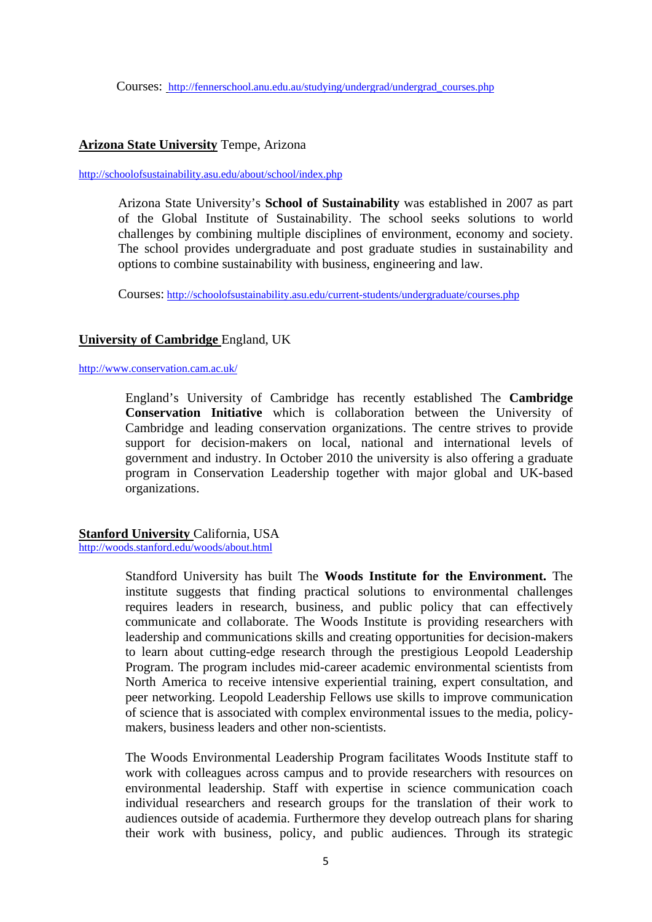#### **Arizona State University** Tempe, Arizona

#### http://schoolofsustainability.asu.edu/about/school/index.php

Arizona State University's **School of Sustainability** was established in 2007 as part of the Global Institute of Sustainability. The school seeks solutions to world challenges by combining multiple disciplines of environment, economy and society. The school provides undergraduate and post graduate studies in sustainability and options to combine sustainability with business, engineering and law.

Courses: http://schoolofsustainability.asu.edu/current-students/undergraduate/courses.php

### **University of Cambridge** England, UK

#### http://www.conservation.cam.ac.uk/

England's University of Cambridge has recently established The **Cambridge Conservation Initiative** which is collaboration between the University of Cambridge and leading conservation organizations. The centre strives to provide support for decision-makers on local, national and international levels of government and industry. In October 2010 the university is also offering a graduate program in Conservation Leadership together with major global and UK-based organizations.

### **Stanford University** California, USA

http://woods.stanford.edu/woods/about.html

Standford University has built The **Woods Institute for the Environment.** The institute suggests that finding practical solutions to environmental challenges requires leaders in research, business, and public policy that can effectively communicate and collaborate. The Woods Institute is providing researchers with leadership and communications skills and creating opportunities for decision-makers to learn about cutting-edge research through the prestigious Leopold Leadership Program. The program includes mid-career academic environmental scientists from North America to receive intensive experiential training, expert consultation, and peer networking. Leopold Leadership Fellows use skills to improve communication of science that is associated with complex environmental issues to the media, policymakers, business leaders and other non-scientists.

The Woods Environmental Leadership Program facilitates Woods Institute staff to work with colleagues across campus and to provide researchers with resources on environmental leadership. Staff with expertise in science communication coach individual researchers and research groups for the translation of their work to audiences outside of academia. Furthermore they develop outreach plans for sharing their work with business, policy, and public audiences. Through its strategic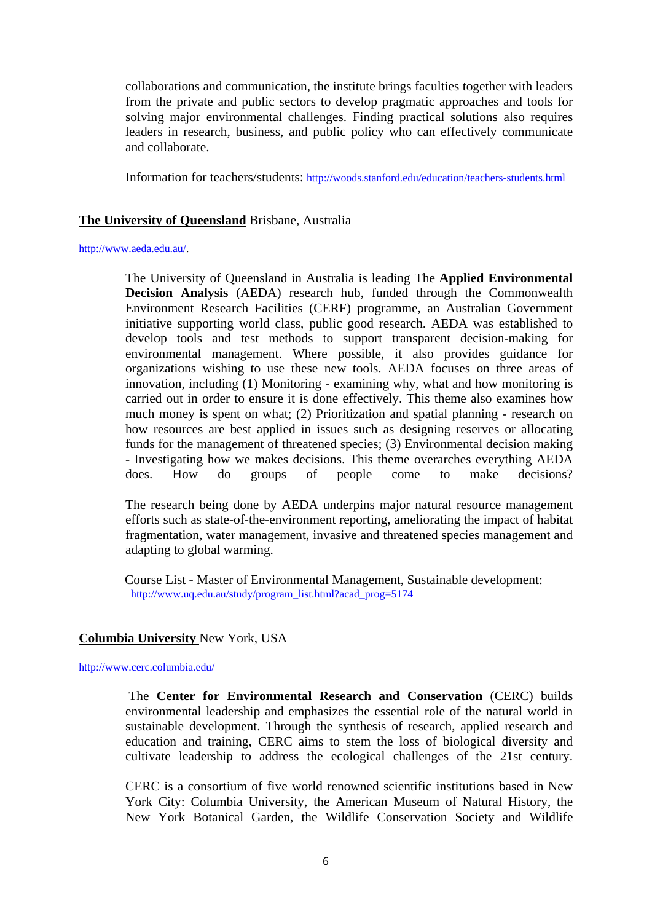collaborations and communication, the institute brings faculties together with leaders from the private and public sectors to develop pragmatic approaches and tools for solving major environmental challenges. Finding practical solutions also requires leaders in research, business, and public policy who can effectively communicate and collaborate.

Information for teachers/students: http://woods.stanford.edu/education/teachers-students.html

## **The University of Queensland** Brisbane, Australia

#### http://www.aeda.edu.au/.

The University of Queensland in Australia is leading The **Applied Environmental Decision Analysis** (AEDA) research hub, funded through the Commonwealth Environment Research Facilities (CERF) programme, an Australian Government initiative supporting world class, public good research. AEDA was established to develop tools and test methods to support transparent decision-making for environmental management. Where possible, it also provides guidance for organizations wishing to use these new tools. AEDA focuses on three areas of innovation, including (1) Monitoring - examining why, what and how monitoring is carried out in order to ensure it is done effectively. This theme also examines how much money is spent on what; (2) Prioritization and spatial planning - research on how resources are best applied in issues such as designing reserves or allocating funds for the management of threatened species; (3) Environmental decision making - Investigating how we makes decisions. This theme overarches everything AEDA does. How do groups of people come to make decisions?

The research being done by AEDA underpins major natural resource management efforts such as state-of-the-environment reporting, ameliorating the impact of habitat fragmentation, water management, invasive and threatened species management and adapting to global warming.

Course List - Master of Environmental Management, Sustainable development: http://www.uq.edu.au/study/program\_list.html?acad\_prog=5174

### **Columbia University** New York, USA

http://www.cerc.columbia.edu/

 The **Center for Environmental Research and Conservation** (CERC) builds environmental leadership and emphasizes the essential role of the natural world in sustainable development. Through the synthesis of research, applied research and education and training, CERC aims to stem the loss of biological diversity and cultivate leadership to address the ecological challenges of the 21st century.

CERC is a consortium of five world renowned scientific institutions based in New York City: Columbia University, the American Museum of Natural History, the New York Botanical Garden, the Wildlife Conservation Society and Wildlife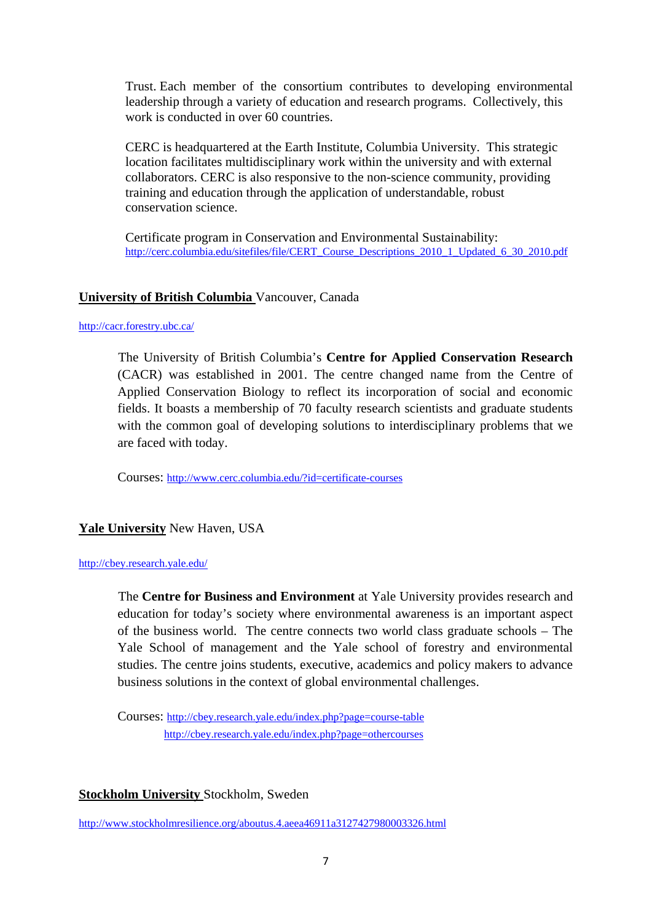Trust. Each member of the consortium contributes to developing environmental leadership through a variety of education and research programs. Collectively, this work is conducted in over 60 countries.

CERC is headquartered at the Earth Institute, Columbia University. This strategic location facilitates multidisciplinary work within the university and with external collaborators. CERC is also responsive to the non-science community, providing training and education through the application of understandable, robust conservation science.

Certificate program in Conservation and Environmental Sustainability: http://cerc.columbia.edu/sitefiles/file/CERT\_Course\_Descriptions\_2010\_1\_Updated\_6\_30\_2010.pdf

# **University of British Columbia** Vancouver, Canada

#### http://cacr.forestry.ubc.ca/

 The University of British Columbia's **Centre for Applied Conservation Research**  (CACR) was established in 2001. The centre changed name from the Centre of Applied Conservation Biology to reflect its incorporation of social and economic fields. It boasts a membership of 70 faculty research scientists and graduate students with the common goal of developing solutions to interdisciplinary problems that we are faced with today.

Courses: http://www.cerc.columbia.edu/?id=certificate-courses

### **Yale University** New Haven, USA

#### http://cbey.research.yale.edu/

 The **Centre for Business and Environment** at Yale University provides research and education for today's society where environmental awareness is an important aspect of the business world. The centre connects two world class graduate schools – The Yale School of management and the Yale school of forestry and environmental studies. The centre joins students, executive, academics and policy makers to advance business solutions in the context of global environmental challenges.

Courses: http://cbey.research.yale.edu/index.php?page=course-table http://cbey.research.yale.edu/index.php?page=othercourses

#### **Stockholm University** Stockholm, Sweden

http://www.stockholmresilience.org/aboutus.4.aeea46911a3127427980003326.html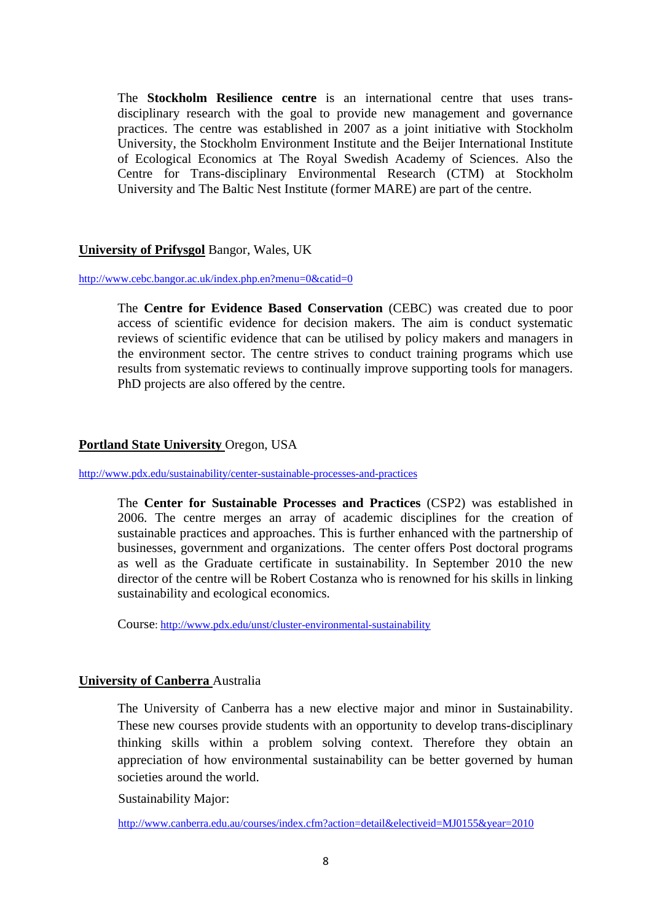The **Stockholm Resilience centre** is an international centre that uses transdisciplinary research with the goal to provide new management and governance practices. The centre was established in 2007 as a joint initiative with Stockholm University, the Stockholm Environment Institute and the Beijer International Institute of Ecological Economics at The Royal Swedish Academy of Sciences. Also the Centre for Trans-disciplinary Environmental Research (CTM) at Stockholm University and The Baltic Nest Institute (former MARE) are part of the centre.

### **University of Prifysgol** Bangor, Wales, UK

#### http://www.cebc.bangor.ac.uk/index.php.en?menu=0&catid=0

 The **Centre for Evidence Based Conservation** (CEBC) was created due to poor access of scientific evidence for decision makers. The aim is conduct systematic reviews of scientific evidence that can be utilised by policy makers and managers in the environment sector. The centre strives to conduct training programs which use results from systematic reviews to continually improve supporting tools for managers. PhD projects are also offered by the centre.

### **Portland State University** Oregon, USA

#### http://www.pdx.edu/sustainability/center-sustainable-processes-and-practices

The **Center for Sustainable Processes and Practices** (CSP2) was established in 2006. The centre merges an array of academic disciplines for the creation of sustainable practices and approaches. This is further enhanced with the partnership of businesses, government and organizations. The center offers Post doctoral programs as well as the Graduate certificate in sustainability. In September 2010 the new director of the centre will be Robert Costanza who is renowned for his skills in linking sustainability and ecological economics.

Course: http://www.pdx.edu/unst/cluster-environmental-sustainability

#### **University of Canberra** Australia

The University of Canberra has a new elective major and minor in Sustainability. These new courses provide students with an opportunity to develop trans-disciplinary thinking skills within a problem solving context. Therefore they obtain an appreciation of how environmental sustainability can be better governed by human societies around the world.

Sustainability Major:

http://www.canberra.edu.au/courses/index.cfm?action=detail&electiveid=MJ0155&year=2010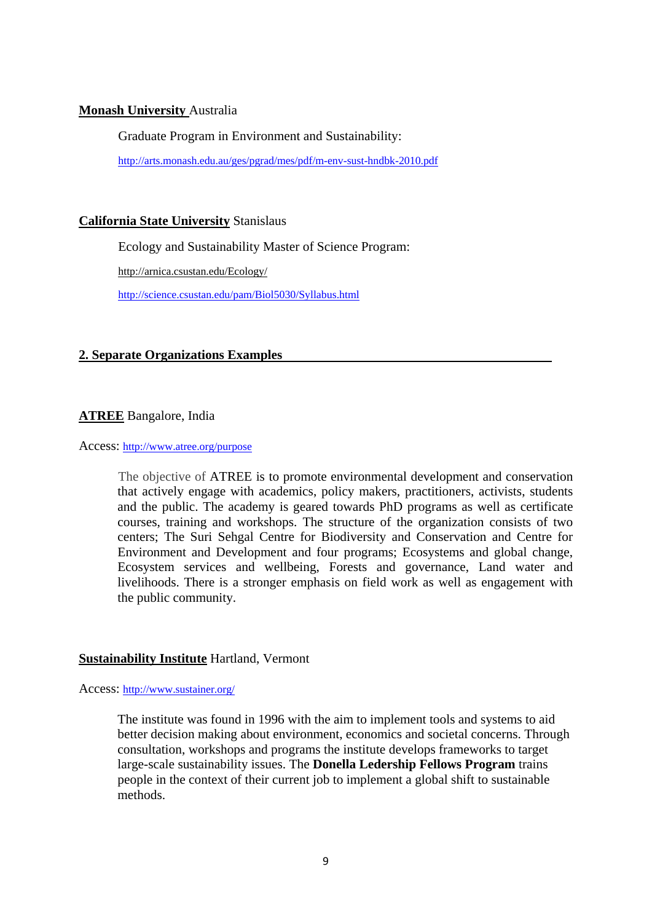# **Monash University** Australia

Graduate Program in Environment and Sustainability:

http://arts.monash.edu.au/ges/pgrad/mes/pdf/m-env-sust-hndbk-2010.pdf

# **California State University** Stanislaus

Ecology and Sustainability Master of Science Program:

http://arnica.csustan.edu/Ecology/

http://science.csustan.edu/pam/Biol5030/Syllabus.html

# **2. Separate Organizations Examples**

# **ATREE** Bangalore, India

Access: http://www.atree.org/purpose

The objective of ATREE is to promote environmental development and conservation that actively engage with academics, policy makers, practitioners, activists, students and the public. The academy is geared towards PhD programs as well as certificate courses, training and workshops. The structure of the organization consists of two centers; The Suri Sehgal Centre for Biodiversity and Conservation and Centre for Environment and Development and four programs; Ecosystems and global change, Ecosystem services and wellbeing, Forests and governance, Land water and livelihoods. There is a stronger emphasis on field work as well as engagement with the public community.

### **Sustainability Institute** Hartland, Vermont

Access: http://www.sustainer.org/

The institute was found in 1996 with the aim to implement tools and systems to aid better decision making about environment, economics and societal concerns. Through consultation, workshops and programs the institute develops frameworks to target large-scale sustainability issues. The **Donella Ledership Fellows Program** trains people in the context of their current job to implement a global shift to sustainable methods.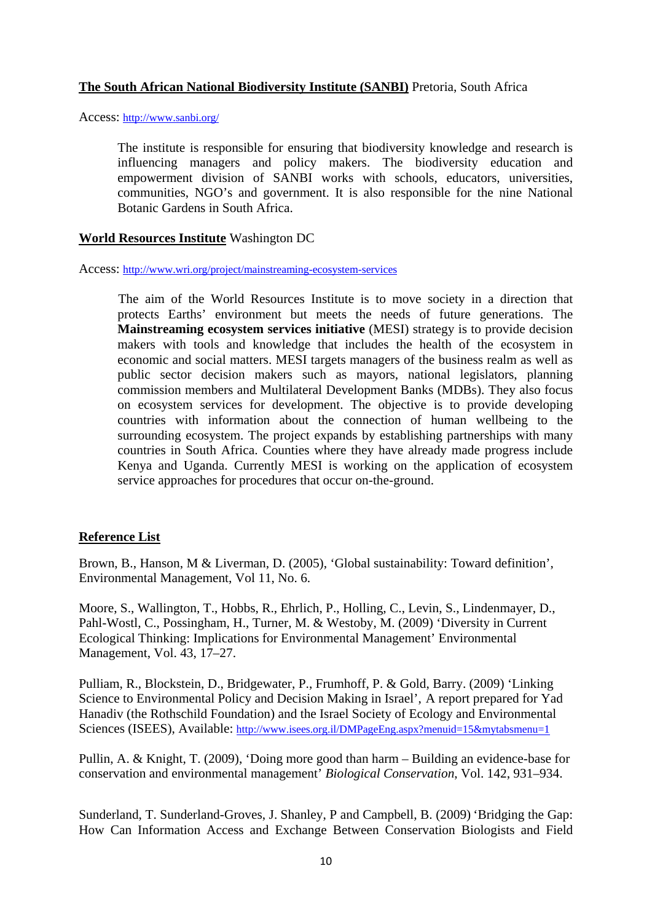# **The South African National Biodiversity Institute (SANBI)** Pretoria, South Africa

Access: http://www.sanbi.org/

 The institute is responsible for ensuring that biodiversity knowledge and research is influencing managers and policy makers. The biodiversity education and empowerment division of SANBI works with schools, educators, universities, communities, NGO's and government. It is also responsible for the nine National Botanic Gardens in South Africa.

### **World Resources Institute** Washington DC

Access: http://www.wri.org/project/mainstreaming-ecosystem-services

 The aim of the World Resources Institute is to move society in a direction that protects Earths' environment but meets the needs of future generations. The **Mainstreaming ecosystem services initiative** (MESI) strategy is to provide decision makers with tools and knowledge that includes the health of the ecosystem in economic and social matters. MESI targets managers of the business realm as well as public sector decision makers such as mayors, national legislators, planning commission members and Multilateral Development Banks (MDBs). They also focus on ecosystem services for development. The objective is to provide developing countries with information about the connection of human wellbeing to the surrounding ecosystem. The project expands by establishing partnerships with many countries in South Africa. Counties where they have already made progress include Kenya and Uganda. Currently MESI is working on the application of ecosystem service approaches for procedures that occur on-the-ground.

### **Reference List**

Brown, B., Hanson, M & Liverman, D. (2005), 'Global sustainability: Toward definition', Environmental Management, Vol 11, No. 6.

Moore, S., Wallington, T., Hobbs, R., Ehrlich, P., Holling, C., Levin, S., Lindenmayer, D., Pahl-Wostl, C., Possingham, H., Turner, M. & Westoby, M. (2009) 'Diversity in Current Ecological Thinking: Implications for Environmental Management' Environmental Management, Vol. 43, 17–27.

Pulliam, R., Blockstein, D., Bridgewater, P., Frumhoff, P. & Gold, Barry. (2009) 'Linking Science to Environmental Policy and Decision Making in Israel', A report prepared for Yad Hanadiv (the Rothschild Foundation) and the Israel Society of Ecology and Environmental Sciences (ISEES), Available: http://www.isees.org.il/DMPageEng.aspx?menuid=15&mytabsmenu=1

Pullin, A. & Knight, T. (2009), 'Doing more good than harm – Building an evidence-base for conservation and environmental management' *Biological Conservation*, Vol. 142, 931–934.

Sunderland, T. Sunderland-Groves, J. Shanley, P and Campbell, B. (2009) 'Bridging the Gap: How Can Information Access and Exchange Between Conservation Biologists and Field